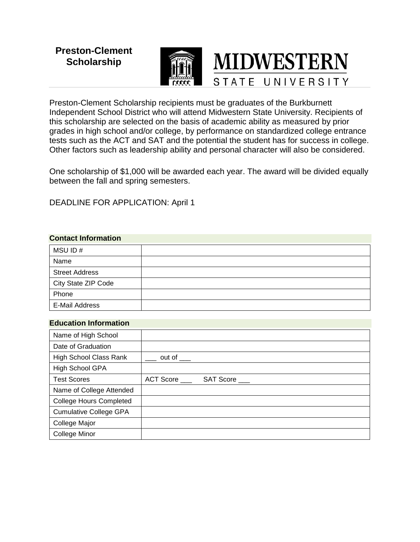# **Preston-Clement Scholarship**



Preston-Clement Scholarship recipients must be graduates of the Burkburnett Independent School District who will attend Midwestern State University. Recipients of this scholarship are selected on the basis of academic ability as measured by prior grades in high school and/or college, by performance on standardized college entrance tests such as the ACT and SAT and the potential the student has for success in college. Other factors such as leadership ability and personal character will also be considered.

One scholarship of \$1,000 will be awarded each year. The award will be divided equally between the fall and spring semesters.

DEADLINE FOR APPLICATION: April 1

## **Contact Information**

| MSU ID#               |  |
|-----------------------|--|
| Name                  |  |
| <b>Street Address</b> |  |
| City State ZIP Code   |  |
| Phone                 |  |
| E-Mail Address        |  |

#### **Education Information**

| Name of High School            |                        |
|--------------------------------|------------------------|
| Date of Graduation             |                        |
| <b>High School Class Rank</b>  | out of $\_\_$          |
| High School GPA                |                        |
| <b>Test Scores</b>             | ACT Score<br>SAT Score |
| Name of College Attended       |                        |
| <b>College Hours Completed</b> |                        |
| <b>Cumulative College GPA</b>  |                        |
| College Major                  |                        |
| <b>College Minor</b>           |                        |